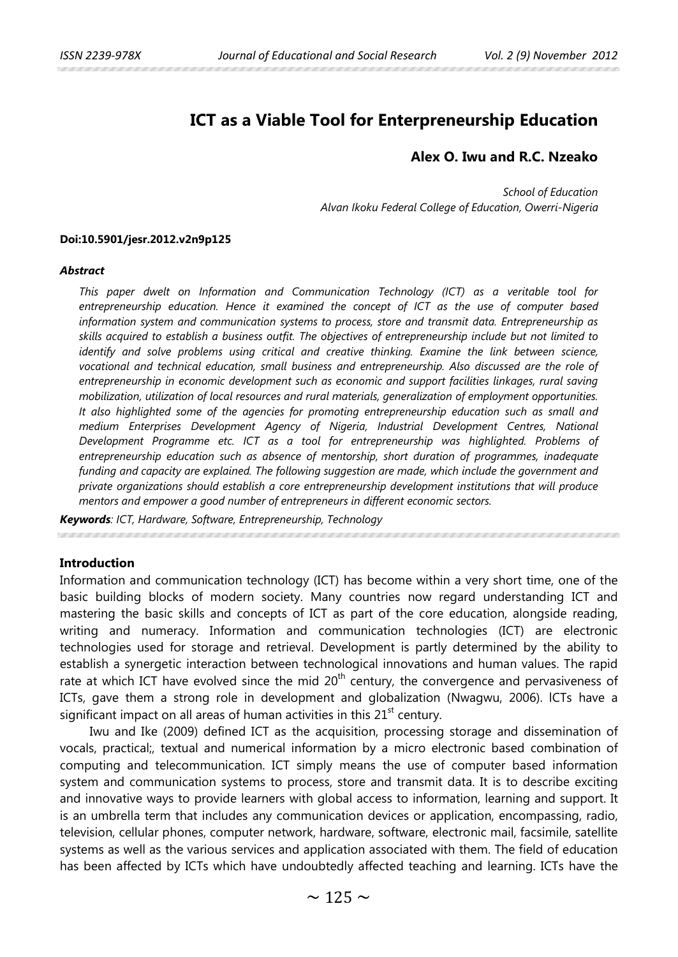# **ICT as a Viable Tool for Enterpreneurship Education**

# **Alex O. Iwu and R.C. Nzeako**

*School of Education Alvan Ikoku Federal College of Education, Owerri-Nigeria*

### **Doi:10.5901/jesr.2012.v2n9p125**

#### *Abstract*

*This paper dwelt on Information and Communication Technology (ICT) as a veritable tool for entrepreneurship education. Hence it examined the concept of ICT as the use of computer based information system and communication systems to process, store and transmit data. Entrepreneurship as skills acquired to establish a business outfit. The objectives of entrepreneurship include but not limited to identify and solve problems using critical and creative thinking. Examine the link between science, vocational and technical education, small business and entrepreneurship. Also discussed are the role of entrepreneurship in economic development such as economic and support facilities linkages, rural saving mobilization, utilization of local resources and rural materials, generalization of employment opportunities. It also highlighted some of the agencies for promoting entrepreneurship education such as small and medium Enterprises Development Agency of Nigeria, Industrial Development Centres, National Development Programme etc. ICT as a tool for entrepreneurship was highlighted. Problems of entrepreneurship education such as absence of mentorship, short duration of programmes, inadequate funding and capacity are explained. The following suggestion are made, which include the government and private organizations should establish a core entrepreneurship development institutions that will produce mentors and empower a good number of entrepreneurs in different economic sectors.*

*Keywords: ICT, Hardware, Software, Entrepreneurship, Technology* 

### **Introduction**

Information and communication technology (ICT) has become within a very short time, one of the basic building blocks of modern society. Many countries now regard understanding ICT and mastering the basic skills and concepts of ICT as part of the core education, alongside reading, writing and numeracy. Information and communication technologies (ICT) are electronic technologies used for storage and retrieval. Development is partly determined by the ability to establish a synergetic interaction between technological innovations and human values. The rapid rate at which ICT have evolved since the mid  $20<sup>th</sup>$  century, the convergence and pervasiveness of ICTs, gave them a strong role in development and globalization (Nwagwu, 2006). lCTs have a significant impact on all areas of human activities in this  $21<sup>st</sup>$  century.

Iwu and Ike (2009) defined ICT as the acquisition, processing storage and dissemination of vocals, practical;, textual and numerical information by a micro electronic based combination of computing and telecommunication. ICT simply means the use of computer based information system and communication systems to process, store and transmit data. It is to describe exciting and innovative ways to provide learners with global access to information, learning and support. It is an umbrella term that includes any communication devices or application, encompassing, radio, television, cellular phones, computer network, hardware, software, electronic mail, facsimile, satellite systems as well as the various services and application associated with them. The field of education has been affected by ICTs which have undoubtedly affected teaching and learning. ICTs have the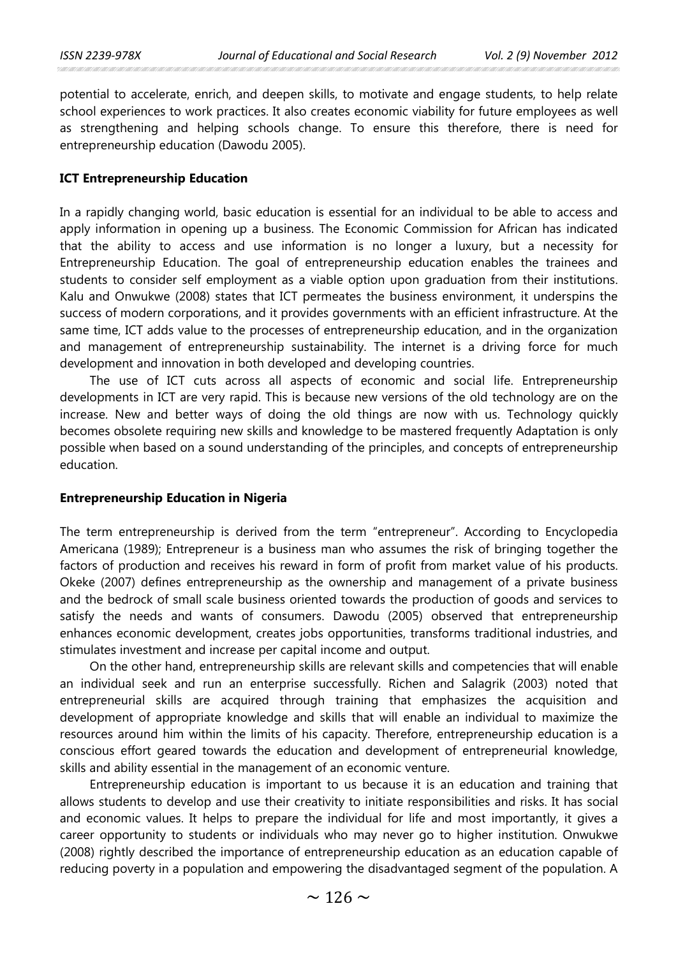potential to accelerate, enrich, and deepen skills, to motivate and engage students, to help relate school experiences to work practices. It also creates economic viability for future employees as well as strengthening and helping schools change. To ensure this therefore, there is need for entrepreneurship education (Dawodu 2005).

### **ICT Entrepreneurship Education**

In a rapidly changing world, basic education is essential for an individual to be able to access and apply information in opening up a business. The Economic Commission for African has indicated that the ability to access and use information is no longer a luxury, but a necessity for Entrepreneurship Education. The goal of entrepreneurship education enables the trainees and students to consider self employment as a viable option upon graduation from their institutions. Kalu and Onwukwe (2008) states that ICT permeates the business environment, it underspins the success of modern corporations, and it provides governments with an efficient infrastructure. At the same time, ICT adds value to the processes of entrepreneurship education, and in the organization and management of entrepreneurship sustainability. The internet is a driving force for much development and innovation in both developed and developing countries.

The use of ICT cuts across all aspects of economic and social life. Entrepreneurship developments in ICT are very rapid. This is because new versions of the old technology are on the increase. New and better ways of doing the old things are now with us. Technology quickly becomes obsolete requiring new skills and knowledge to be mastered frequently Adaptation is only possible when based on a sound understanding of the principles, and concepts of entrepreneurship education.

#### **Entrepreneurship Education in Nigeria**

The term entrepreneurship is derived from the term "entrepreneur". According to Encyclopedia Americana (1989); Entrepreneur is a business man who assumes the risk of bringing together the factors of production and receives his reward in form of profit from market value of his products. Okeke (2007) defines entrepreneurship as the ownership and management of a private business and the bedrock of small scale business oriented towards the production of goods and services to satisfy the needs and wants of consumers. Dawodu (2005) observed that entrepreneurship enhances economic development, creates jobs opportunities, transforms traditional industries, and stimulates investment and increase per capital income and output.

On the other hand, entrepreneurship skills are relevant skills and competencies that will enable an individual seek and run an enterprise successfully. Richen and Salagrik (2003) noted that entrepreneurial skills are acquired through training that emphasizes the acquisition and development of appropriate knowledge and skills that will enable an individual to maximize the resources around him within the limits of his capacity. Therefore, entrepreneurship education is a conscious effort geared towards the education and development of entrepreneurial knowledge, skills and ability essential in the management of an economic venture.

Entrepreneurship education is important to us because it is an education and training that allows students to develop and use their creativity to initiate responsibilities and risks. It has social and economic values. It helps to prepare the individual for life and most importantly, it gives a career opportunity to students or individuals who may never go to higher institution. Onwukwe (2008) rightly described the importance of entrepreneurship education as an education capable of reducing poverty in a population and empowering the disadvantaged segment of the population. A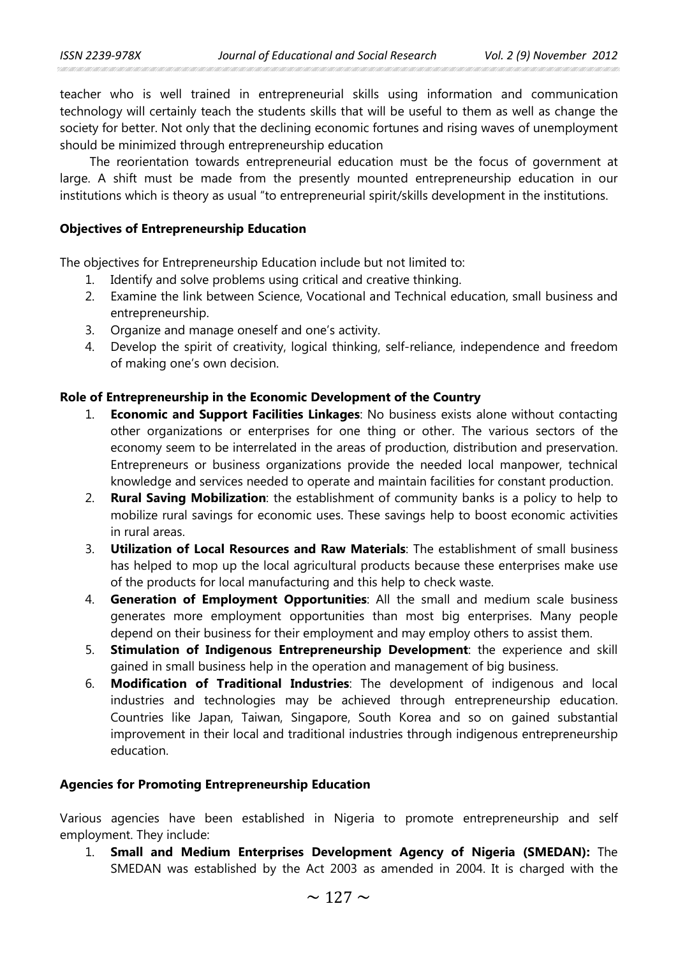teacher who is well trained in entrepreneurial skills using information and communication technology will certainly teach the students skills that will be useful to them as well as change the society for better. Not only that the declining economic fortunes and rising waves of unemployment should be minimized through entrepreneurship education

The reorientation towards entrepreneurial education must be the focus of government at large. A shift must be made from the presently mounted entrepreneurship education in our institutions which is theory as usual "to entrepreneurial spirit/skills development in the institutions.

## **Objectives of Entrepreneurship Education**

The objectives for Entrepreneurship Education include but not limited to:

- 1. Identify and solve problems using critical and creative thinking.
- 2. Examine the link between Science, Vocational and Technical education, small business and entrepreneurship.
- 3. Organize and manage oneself and one's activity.
- 4. Develop the spirit of creativity, logical thinking, self-reliance, independence and freedom of making one's own decision.

# **Role of Entrepreneurship in the Economic Development of the Country**

- 1. **Economic and Support Facilities Linkages**: No business exists alone without contacting other organizations or enterprises for one thing or other. The various sectors of the economy seem to be interrelated in the areas of production, distribution and preservation. Entrepreneurs or business organizations provide the needed local manpower, technical knowledge and services needed to operate and maintain facilities for constant production.
- 2. **Rural Saving Mobilization**: the establishment of community banks is a policy to help to mobilize rural savings for economic uses. These savings help to boost economic activities in rural areas.
- 3. **Utilization of Local Resources and Raw Materials**: The establishment of small business has helped to mop up the local agricultural products because these enterprises make use of the products for local manufacturing and this help to check waste.
- 4. **Generation of Employment Opportunities**: All the small and medium scale business generates more employment opportunities than most big enterprises. Many people depend on their business for their employment and may employ others to assist them.
- 5. **Stimulation of Indigenous Entrepreneurship Development**: the experience and skill gained in small business help in the operation and management of big business.
- 6. **Modification of Traditional Industries**: The development of indigenous and local industries and technologies may be achieved through entrepreneurship education. Countries like Japan, Taiwan, Singapore, South Korea and so on gained substantial improvement in their local and traditional industries through indigenous entrepreneurship education.

## **Agencies for Promoting Entrepreneurship Education**

Various agencies have been established in Nigeria to promote entrepreneurship and self employment. They include:

1. **Small and Medium Enterprises Development Agency of Nigeria (SMEDAN):** The SMEDAN was established by the Act 2003 as amended in 2004. It is charged with the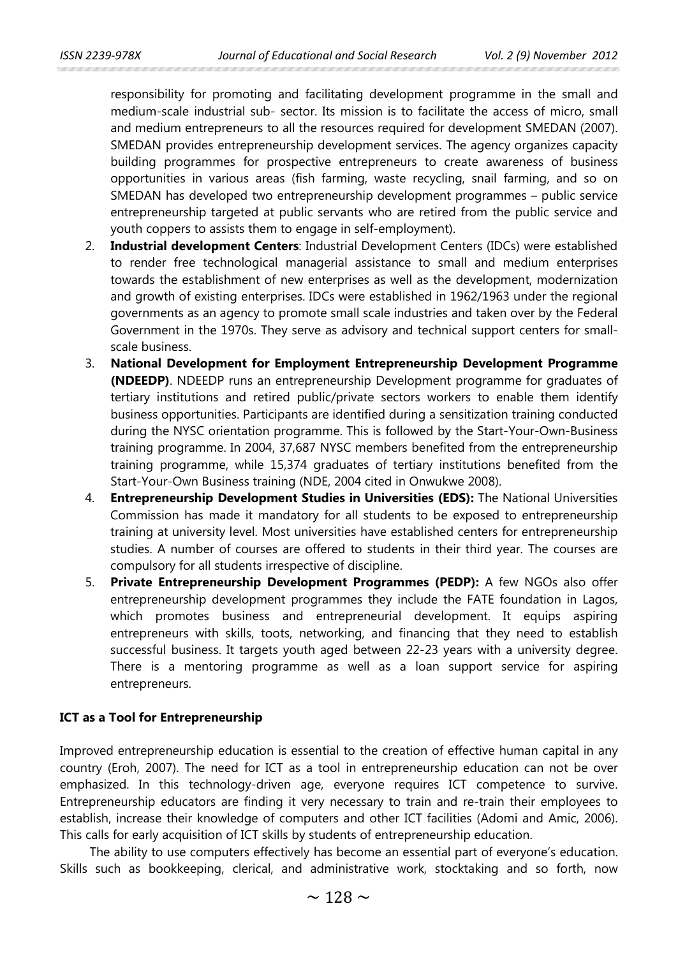responsibility for promoting and facilitating development programme in the small and medium-scale industrial sub- sector. Its mission is to facilitate the access of micro, small and medium entrepreneurs to all the resources required for development SMEDAN (2007). SMEDAN provides entrepreneurship development services. The agency organizes capacity building programmes for prospective entrepreneurs to create awareness of business opportunities in various areas (fish farming, waste recycling, snail farming, and so on SMEDAN has developed two entrepreneurship development programmes – public service entrepreneurship targeted at public servants who are retired from the public service and youth coppers to assists them to engage in self-employment).

- 2. **Industrial development Centers**: Industrial Development Centers (IDCs) were established to render free technological managerial assistance to small and medium enterprises towards the establishment of new enterprises as well as the development, modernization and growth of existing enterprises. IDCs were established in 1962/1963 under the regional governments as an agency to promote small scale industries and taken over by the Federal Government in the 1970s. They serve as advisory and technical support centers for smallscale business.
- 3. **National Development for Employment Entrepreneurship Development Programme (NDEEDP)**. NDEEDP runs an entrepreneurship Development programme for graduates of tertiary institutions and retired public/private sectors workers to enable them identify business opportunities. Participants are identified during a sensitization training conducted during the NYSC orientation programme. This is followed by the Start-Your-Own-Business training programme. In 2004, 37,687 NYSC members benefited from the entrepreneurship training programme, while 15,374 graduates of tertiary institutions benefited from the Start-Your-Own Business training (NDE, 2004 cited in Onwukwe 2008).
- 4. **Entrepreneurship Development Studies in Universities (EDS):** The National Universities Commission has made it mandatory for all students to be exposed to entrepreneurship training at university level. Most universities have established centers for entrepreneurship studies. A number of courses are offered to students in their third year. The courses are compulsory for all students irrespective of discipline.
- 5. **Private Entrepreneurship Development Programmes (PEDP):** A few NGOs also offer entrepreneurship development programmes they include the FATE foundation in Lagos, which promotes business and entrepreneurial development. It equips aspiring entrepreneurs with skills, toots, networking, and financing that they need to establish successful business. It targets youth aged between 22-23 years with a university degree. There is a mentoring programme as well as a loan support service for aspiring entrepreneurs.

### **ICT as a Tool for Entrepreneurship**

Improved entrepreneurship education is essential to the creation of effective human capital in any country (Eroh, 2007). The need for ICT as a tool in entrepreneurship education can not be over emphasized. In this technology-driven age, everyone requires ICT competence to survive. Entrepreneurship educators are finding it very necessary to train and re-train their employees to establish, increase their knowledge of computers and other ICT facilities (Adomi and Amic, 2006). This calls for early acquisition of ICT skills by students of entrepreneurship education.

The ability to use computers effectively has become an essential part of everyone's education. Skills such as bookkeeping, clerical, and administrative work, stocktaking and so forth, now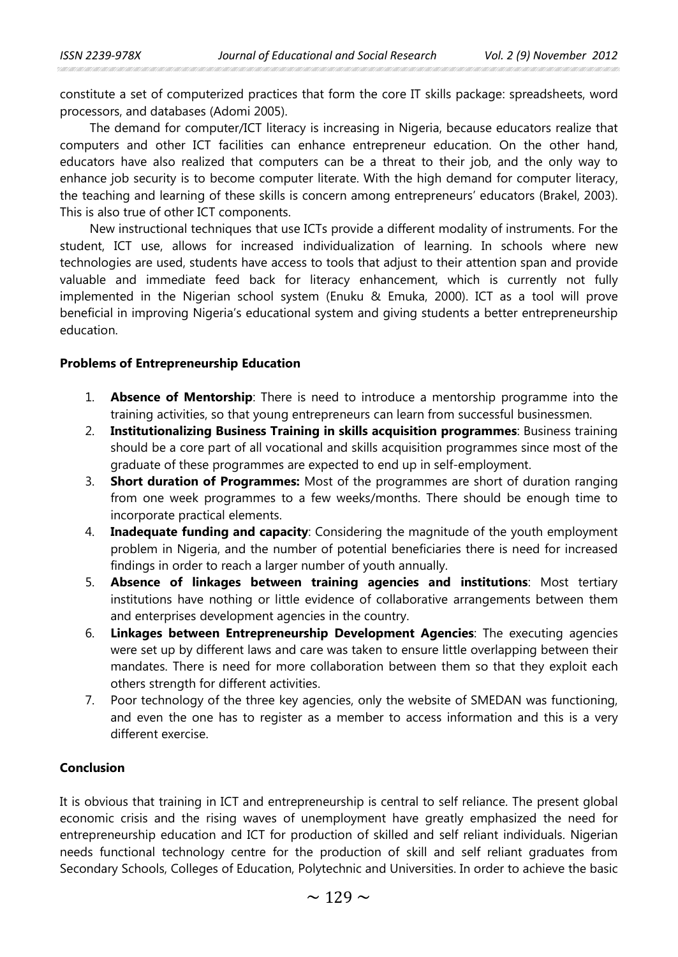constitute a set of computerized practices that form the core IT skills package: spreadsheets, word processors, and databases (Adomi 2005).

The demand for computer/ICT literacy is increasing in Nigeria, because educators realize that computers and other ICT facilities can enhance entrepreneur education. On the other hand, educators have also realized that computers can be a threat to their job, and the only way to enhance job security is to become computer literate. With the high demand for computer literacy, the teaching and learning of these skills is concern among entrepreneurs' educators (Brakel, 2003). This is also true of other ICT components.

New instructional techniques that use ICTs provide a different modality of instruments. For the student, ICT use, allows for increased individualization of learning. In schools where new technologies are used, students have access to tools that adjust to their attention span and provide valuable and immediate feed back for literacy enhancement, which is currently not fully implemented in the Nigerian school system (Enuku & Emuka, 2000). ICT as a tool will prove beneficial in improving Nigeria's educational system and giving students a better entrepreneurship education.

### **Problems of Entrepreneurship Education**

- 1. **Absence of Mentorship**: There is need to introduce a mentorship programme into the training activities, so that young entrepreneurs can learn from successful businessmen.
- 2. **Institutionalizing Business Training in skills acquisition programmes**: Business training should be a core part of all vocational and skills acquisition programmes since most of the graduate of these programmes are expected to end up in self-employment.
- 3. **Short duration of Programmes:** Most of the programmes are short of duration ranging from one week programmes to a few weeks/months. There should be enough time to incorporate practical elements.
- 4. **Inadequate funding and capacity**: Considering the magnitude of the youth employment problem in Nigeria, and the number of potential beneficiaries there is need for increased findings in order to reach a larger number of youth annually.
- 5. **Absence of linkages between training agencies and institutions**: Most tertiary institutions have nothing or little evidence of collaborative arrangements between them and enterprises development agencies in the country.
- 6. **Linkages between Entrepreneurship Development Agencies**: The executing agencies were set up by different laws and care was taken to ensure little overlapping between their mandates. There is need for more collaboration between them so that they exploit each others strength for different activities.
- 7. Poor technology of the three key agencies, only the website of SMEDAN was functioning, and even the one has to register as a member to access information and this is a very different exercise.

### **Conclusion**

It is obvious that training in ICT and entrepreneurship is central to self reliance. The present global economic crisis and the rising waves of unemployment have greatly emphasized the need for entrepreneurship education and ICT for production of skilled and self reliant individuals. Nigerian needs functional technology centre for the production of skill and self reliant graduates from Secondary Schools, Colleges of Education, Polytechnic and Universities. In order to achieve the basic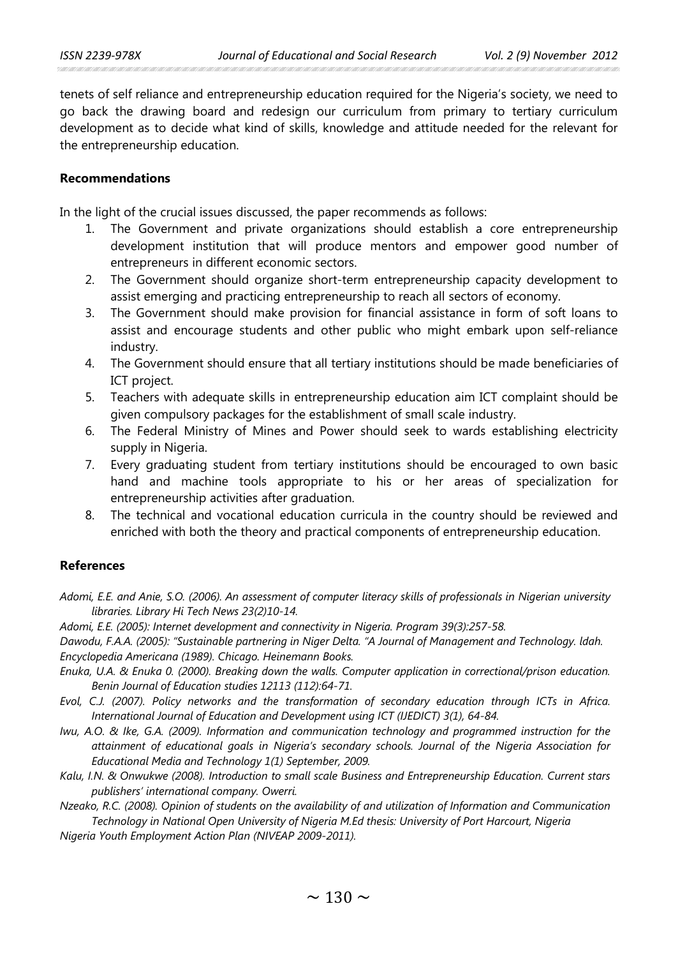tenets of self reliance and entrepreneurship education required for the Nigeria's society, we need to go back the drawing board and redesign our curriculum from primary to tertiary curriculum development as to decide what kind of skills, knowledge and attitude needed for the relevant for the entrepreneurship education.

# **Recommendations**

In the light of the crucial issues discussed, the paper recommends as follows:

- 1. The Government and private organizations should establish a core entrepreneurship development institution that will produce mentors and empower good number of entrepreneurs in different economic sectors.
- 2. The Government should organize short-term entrepreneurship capacity development to assist emerging and practicing entrepreneurship to reach all sectors of economy.
- 3. The Government should make provision for financial assistance in form of soft loans to assist and encourage students and other public who might embark upon self-reliance industry.
- 4. The Government should ensure that all tertiary institutions should be made beneficiaries of ICT project.
- 5. Teachers with adequate skills in entrepreneurship education aim ICT complaint should be given compulsory packages for the establishment of small scale industry.
- 6. The Federal Ministry of Mines and Power should seek to wards establishing electricity supply in Nigeria.
- 7. Every graduating student from tertiary institutions should be encouraged to own basic hand and machine tools appropriate to his or her areas of specialization for entrepreneurship activities after graduation.
- 8. The technical and vocational education curricula in the country should be reviewed and enriched with both the theory and practical components of entrepreneurship education.

# **References**

- *Adomi, E.E. and Anie, S.O. (2006). An assessment of computer literacy skills of professionals in Nigerian university libraries. Library Hi Tech News 23(2)10-14.*
- *Adomi, E.E. (2005): Internet development and connectivity in Nigeria. Program 39(3):257-58.*

*Dawodu, F.A.A. (2005): "Sustainable partnering in Niger Delta. "A Journal of Management and Technology. ldah. Encyclopedia Americana (1989). Chicago. Heinemann Books.*

- *Enuka, U.A. & Enuka 0. (2000). Breaking down the walls. Computer application in correctional/prison education. Benin Journal of Education studies 12113 (112):64-71.*
- *Evol, C.J. (2007). Policy networks and the transformation of secondary education through ICTs in Africa. International Journal of Education and Development using ICT (IJEDICT) 3(1), 64-84.*
- *Iwu, A.O. & Ike, G.A. (2009). Information and communication technology and programmed instruction for the attainment of educational goals in Nigeria's secondary schools. Journal of the Nigeria Association for Educational Media and Technology 1(1) September, 2009.*
- *Kalu, I.N. & Onwukwe (2008). Introduction to small scale Business and Entrepreneurship Education. Current stars publishers' international company. Owerri.*

*Nzeako, R.C. (2008). Opinion of students on the availability of and utilization of Information and Communication Technology in National Open University of Nigeria M.Ed thesis: University of Port Harcourt, Nigeria*

*Nigeria Youth Employment Action Plan (NIVEAP 2009-2011).*